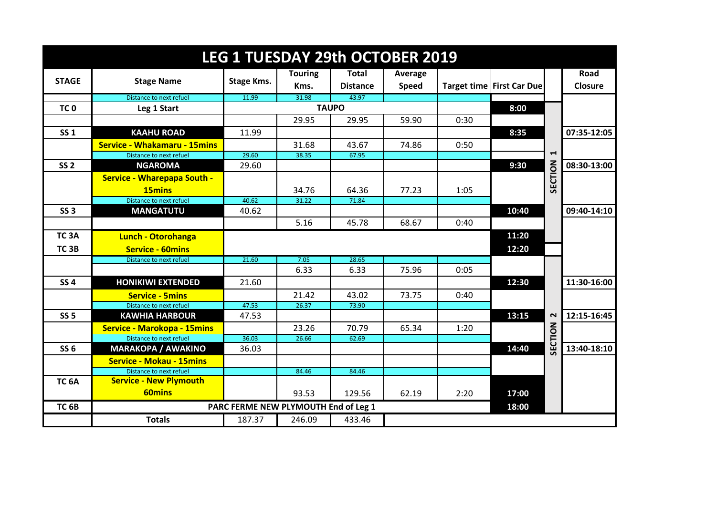| <b>LEG 1 TUESDAY 29th OCTOBER 2019</b> |                                     |                                      |                |                 |              |      |                             |                       |             |  |
|----------------------------------------|-------------------------------------|--------------------------------------|----------------|-----------------|--------------|------|-----------------------------|-----------------------|-------------|--|
|                                        |                                     |                                      | <b>Touring</b> | <b>Total</b>    | Average      |      |                             |                       | <b>Road</b> |  |
| <b>STAGE</b>                           | <b>Stage Name</b>                   | Stage Kms.                           | Kms.           | <b>Distance</b> | <b>Speed</b> |      | Target time   First Car Due |                       | Closure     |  |
|                                        | Distance to next refuel             | 11.99                                | 31.98          | 43.97           |              |      |                             |                       |             |  |
| TC <sub>0</sub>                        | Leg 1 Start                         |                                      |                | <b>TAUPO</b>    |              |      | 8:00                        |                       |             |  |
|                                        |                                     |                                      | 29.95          | 29.95           | 59.90        | 0:30 |                             |                       |             |  |
| <b>SS 1</b>                            | <b>KAAHU ROAD</b>                   | 11.99                                |                |                 |              |      | 8:35                        |                       | 07:35-12:05 |  |
|                                        | <b>Service - Whakamaru - 15mins</b> |                                      | 31.68          | 43.67           | 74.86        | 0:50 |                             |                       |             |  |
|                                        | Distance to next refuel             | 29.60                                | 38.35          | 67.95           |              |      |                             | $\blacktriangleright$ |             |  |
| SS <sub>2</sub>                        | <b>NGAROMA</b>                      | 29.60                                |                |                 |              |      | 9:30                        |                       | 08:30-13:00 |  |
|                                        | <b>Service - Wharepapa South -</b>  |                                      |                |                 |              |      |                             | SECTION               |             |  |
|                                        | 15mins                              |                                      | 34.76          | 64.36           | 77.23        | 1:05 |                             |                       |             |  |
|                                        | Distance to next refuel             | 40.62                                | 31.22          | 71.84           |              |      |                             |                       |             |  |
| <b>SS 3</b>                            | <b>MANGATUTU</b>                    | 40.62                                |                |                 |              |      | 10:40                       |                       | 09:40-14:10 |  |
|                                        |                                     |                                      | 5.16           | 45.78           | 68.67        | 0:40 |                             |                       |             |  |
| TC <sub>3</sub> A                      | Lunch - Otorohanga                  |                                      |                |                 |              |      | 11:20                       |                       |             |  |
| TC <sub>3B</sub>                       | <b>Service - 60mins</b>             |                                      |                |                 |              |      | 12:20                       |                       |             |  |
|                                        | Distance to next refuel             | 21.60                                | 7.05           | 28.65           |              |      |                             |                       |             |  |
|                                        |                                     |                                      | 6.33           | 6.33            | 75.96        | 0:05 |                             |                       |             |  |
| SS <sub>4</sub>                        | <b>HONIKIWI EXTENDED</b>            | 21.60                                |                |                 |              |      | 12:30                       |                       | 11:30-16:00 |  |
|                                        | <b>Service - 5mins</b>              |                                      | 21.42          | 43.02           | 73.75        | 0:40 |                             |                       |             |  |
|                                        | Distance to next refuel             | 47.53                                | 26.37          | 73.90           |              |      |                             |                       |             |  |
| <b>SS 5</b>                            | <b>KAWHIA HARBOUR</b>               | 47.53                                |                |                 |              |      | 13:15                       | $\sim$                | 12:15-16:45 |  |
|                                        | <b>Service - Marokopa - 15mins</b>  |                                      | 23.26          | 70.79           | 65.34        | 1:20 |                             | SECTION               |             |  |
|                                        | Distance to next refuel             | 36.03                                | 26.66          | 62.69           |              |      |                             |                       |             |  |
| <b>SS 6</b>                            | <b>MARAKOPA / AWAKINO</b>           | 36.03                                |                |                 |              |      | 14:40                       |                       | 13:40-18:10 |  |
|                                        | <b>Service - Mokau - 15mins</b>     |                                      |                |                 |              |      |                             |                       |             |  |
|                                        | Distance to next refuel             |                                      | 84.46          | 84.46           |              |      |                             |                       |             |  |
| TC <sub>6</sub> A                      | <b>Service - New Plymouth</b>       |                                      |                |                 |              |      |                             |                       |             |  |
|                                        | <b>60mins</b>                       |                                      | 93.53          | 129.56          | 62.19        | 2:20 | 17:00                       |                       |             |  |
| TC <sub>6B</sub>                       |                                     | PARC FERME NEW PLYMOUTH End of Leg 1 |                |                 |              |      | 18:00                       |                       |             |  |
|                                        | <b>Totals</b>                       | 187.37                               | 246.09         | 433.46          |              |      |                             |                       |             |  |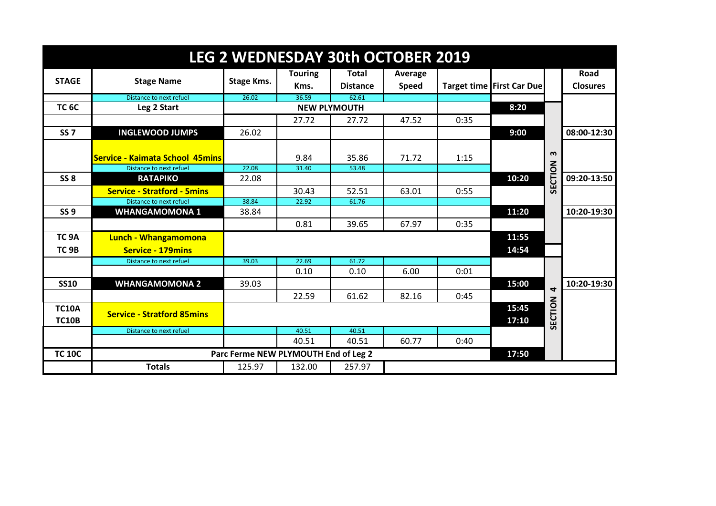| <b>LEG 2 WEDNESDAY 30th OCTOBER 2019</b> |                                                                   |                                      |                        |                                 |                         |      |                           |                         |                         |  |
|------------------------------------------|-------------------------------------------------------------------|--------------------------------------|------------------------|---------------------------------|-------------------------|------|---------------------------|-------------------------|-------------------------|--|
| <b>STAGE</b>                             | <b>Stage Name</b>                                                 | Stage Kms.                           | <b>Touring</b><br>Kms. | <b>Total</b><br><b>Distance</b> | Average<br><b>Speed</b> |      | Target time First Car Due |                         | Road<br><b>Closures</b> |  |
|                                          | Distance to next refuel                                           | 26.02                                | 36.59                  | 62.61                           |                         |      |                           |                         |                         |  |
| <b>TC 6C</b>                             | Leg 2 Start                                                       |                                      |                        | <b>NEW PLYMOUTH</b>             |                         |      | 8:20                      |                         |                         |  |
|                                          |                                                                   |                                      | 27.72                  | 27.72                           | 47.52                   | 0:35 |                           |                         |                         |  |
| <b>SS7</b>                               | <b>INGLEWOOD JUMPS</b>                                            | 26.02                                |                        |                                 |                         |      | 9:00                      |                         | 08:00-12:30             |  |
|                                          | <b>Service - Kaimata School 45mins</b><br>Distance to next refuel | 22.08                                | 9.84<br>31.40          | 35.86<br>53.48                  | 71.72                   | 1:15 |                           | m                       |                         |  |
| <b>SS 8</b>                              | <b>RATAPIKO</b>                                                   | 22.08                                |                        |                                 |                         |      | 10:20                     |                         | 09:20-13:50             |  |
|                                          | <b>Service - Stratford - 5mins</b>                                |                                      | 30.43                  | 52.51                           | 63.01                   | 0:55 |                           | SECTION                 |                         |  |
|                                          | Distance to next refuel                                           | 38.84                                | 22.92                  | 61.76                           |                         |      |                           |                         |                         |  |
| <b>SS 9</b>                              | <b>WHANGAMOMONA 1</b>                                             | 38.84                                |                        |                                 |                         |      | 11:20                     |                         | 10:20-19:30             |  |
|                                          |                                                                   |                                      | 0.81                   | 39.65                           | 67.97                   | 0:35 |                           |                         |                         |  |
| TC <sub>9A</sub>                         | <b>Lunch - Whangamomona</b>                                       |                                      |                        |                                 |                         |      | 11:55                     |                         |                         |  |
| TC <sub>9B</sub>                         | <b>Service - 179mins</b>                                          |                                      |                        |                                 |                         |      | 14:54                     |                         |                         |  |
|                                          | Distance to next refuel                                           | 39.03                                | 22.69<br>0.10          | 61.72<br>0.10                   | 6.00                    | 0:01 |                           |                         |                         |  |
|                                          |                                                                   |                                      |                        |                                 |                         |      |                           |                         |                         |  |
| <b>SS10</b>                              | <b>WHANGAMOMONA 2</b>                                             | 39.03                                |                        |                                 |                         |      | 15:00                     | $\overline{\mathbf{r}}$ | 10:20-19:30             |  |
|                                          |                                                                   |                                      | 22.59                  | 61.62                           | 82.16                   | 0:45 |                           |                         |                         |  |
| <b>TC10A</b><br><b>TC10B</b>             | <b>Service - Stratford 85mins</b>                                 |                                      |                        |                                 |                         |      | 15:45<br>17:10            | SECTION                 |                         |  |
|                                          | Distance to next refuel                                           |                                      | 40.51                  | 40.51                           |                         |      |                           |                         |                         |  |
|                                          |                                                                   |                                      | 40.51                  | 40.51                           | 60.77                   | 0:40 |                           |                         |                         |  |
| <b>TC 10C</b>                            |                                                                   | Parc Ferme NEW PLYMOUTH End of Leg 2 | 17:50                  |                                 |                         |      |                           |                         |                         |  |
|                                          | <b>Totals</b>                                                     | 125.97                               | 132.00                 | 257.97                          |                         |      |                           |                         |                         |  |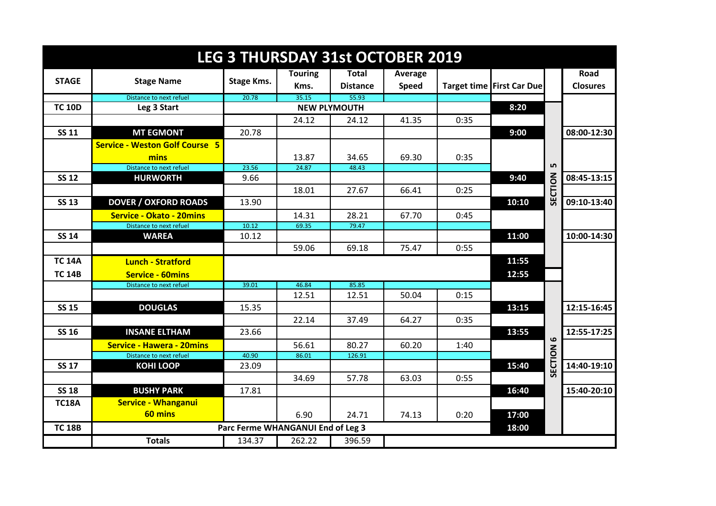| <b>LEG 3 THURSDAY 31st OCTOBER 2019</b> |                                                             |                                   |                |                     |              |      |                           |           |                 |
|-----------------------------------------|-------------------------------------------------------------|-----------------------------------|----------------|---------------------|--------------|------|---------------------------|-----------|-----------------|
|                                         |                                                             |                                   | <b>Touring</b> | <b>Total</b>        | Average      |      |                           |           | Road            |
| <b>STAGE</b>                            | <b>Stage Name</b>                                           | Stage Kms.                        | Kms.           | <b>Distance</b>     | <b>Speed</b> |      | Target time First Car Due |           | <b>Closures</b> |
|                                         | Distance to next refuel                                     | 20.78                             | 35.15          | 55.93               |              |      |                           |           |                 |
| <b>TC 10D</b>                           | Leg 3 Start                                                 |                                   |                | <b>NEW PLYMOUTH</b> |              |      | 8:20                      |           |                 |
|                                         |                                                             |                                   | 24.12          | 24.12               | 41.35        | 0:35 |                           |           |                 |
| <b>SS 11</b>                            | <b>MT EGMONT</b>                                            | 20.78                             |                |                     |              |      | 9:00                      |           | 08:00-12:30     |
|                                         | <b>Service - Weston Golf Course 5</b>                       |                                   |                |                     |              |      |                           |           |                 |
|                                         | mins                                                        |                                   | 13.87          | 34.65               | 69.30        | 0:35 |                           |           |                 |
|                                         | Distance to next refuel                                     | 23.56                             | 24.87          | 48.43               |              |      |                           | ம         |                 |
| <b>SS 12</b>                            | <b>HURWORTH</b>                                             | 9.66                              |                |                     |              |      | 9:40                      |           | 08:45-13:15     |
|                                         |                                                             |                                   | 18.01          | 27.67               | 66.41        | 0:25 |                           | SECTION   |                 |
| <b>SS 13</b>                            | <b>DOVER / OXFORD ROADS</b>                                 | 13.90                             |                |                     |              |      | 10:10                     |           | 09:10-13:40     |
|                                         | <b>Service - Okato - 20mins</b>                             |                                   | 14.31          | 28.21               | 67.70        | 0:45 |                           |           |                 |
|                                         | Distance to next refuel                                     | 10.12                             | 69.35          | 79.47               |              |      |                           |           |                 |
| <b>SS 14</b>                            | <b>WAREA</b>                                                | 10.12                             |                |                     |              |      | 11:00                     |           | 10:00-14:30     |
|                                         |                                                             |                                   | 59.06          | 69.18               | 75.47        | 0:55 |                           |           |                 |
| <b>TC 14A</b>                           | <b>Lunch - Stratford</b>                                    |                                   |                |                     |              |      | 11:55                     |           |                 |
| <b>TC 14B</b>                           | <b>Service - 60mins</b>                                     |                                   |                |                     |              |      | 12:55                     |           |                 |
|                                         | Distance to next refuel                                     | 39.01                             | 46.84          | 85.85               |              |      |                           |           |                 |
|                                         |                                                             |                                   | 12.51          | 12.51               | 50.04        | 0:15 |                           |           |                 |
| <b>SS 15</b>                            | <b>DOUGLAS</b>                                              | 15.35                             |                |                     |              |      | 13:15                     |           | 12:15-16:45     |
|                                         |                                                             |                                   | 22.14          | 37.49               | 64.27        | 0:35 |                           |           |                 |
| <b>SS 16</b>                            | <b>INSANE ELTHAM</b>                                        | 23.66                             |                |                     |              |      | 13:55                     |           | 12:55-17:25     |
|                                         |                                                             |                                   |                |                     |              |      |                           | $\bullet$ |                 |
|                                         | <b>Service - Hawera - 20mins</b><br>Distance to next refuel | 40.90                             | 56.61<br>86.01 | 80.27<br>126.91     | 60.20        | 1:40 |                           |           |                 |
| <b>SS 17</b>                            | <b>KOHI LOOP</b>                                            | 23.09                             |                |                     |              |      | 15:40                     | ECTION    | 14:40-19:10     |
|                                         |                                                             |                                   | 34.69          | 57.78               | 63.03        | 0:55 |                           | ៰         |                 |
|                                         |                                                             |                                   |                |                     |              |      |                           |           |                 |
| <b>SS 18</b>                            | <b>BUSHY PARK</b>                                           | 17.81                             |                |                     |              |      | 16:40                     |           | 15:40-20:10     |
| <b>TC18A</b>                            | <b>Service - Whanganui</b>                                  |                                   |                |                     |              |      |                           |           |                 |
|                                         | 60 mins                                                     |                                   | 6.90           | 24.71               | 74.13        | 0:20 | 17:00                     |           |                 |
| <b>TC 18B</b>                           |                                                             | Parc Ferme WHANGANUI End of Leg 3 |                |                     |              |      | 18:00                     |           |                 |
|                                         | <b>Totals</b>                                               | 134.37                            | 262.22         | 396.59              |              |      |                           |           |                 |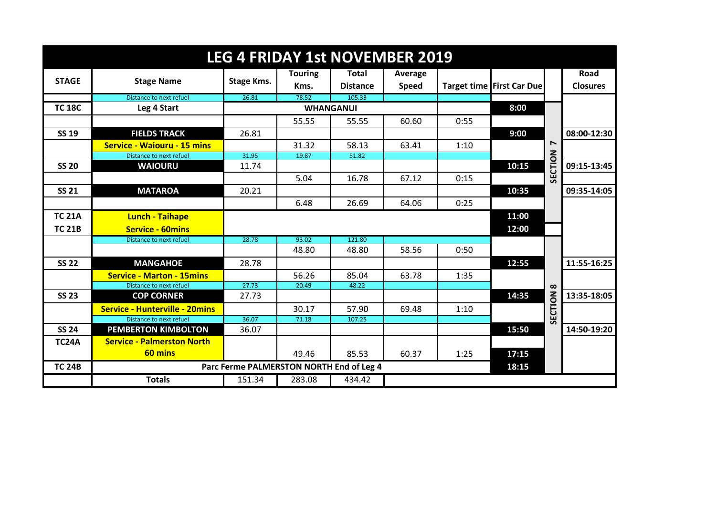| <b>LEG 4 FRIDAY 1st NOVEMBER 2019</b> |                                       |                                          |                |                  |              |      |                           |                  |                 |  |
|---------------------------------------|---------------------------------------|------------------------------------------|----------------|------------------|--------------|------|---------------------------|------------------|-----------------|--|
|                                       | <b>Stage Name</b>                     |                                          | <b>Touring</b> | <b>Total</b>     | Average      |      |                           |                  | Road            |  |
| <b>STAGE</b>                          |                                       | Stage Kms.                               | Kms.           | <b>Distance</b>  | <b>Speed</b> |      | Target time First Car Due |                  | <b>Closures</b> |  |
|                                       | Distance to next refuel               | 26.81                                    | 78.52          | 105.33           |              |      |                           |                  |                 |  |
| <b>TC 18C</b>                         | Leg 4 Start                           |                                          |                | <b>WHANGANUI</b> |              |      | 8:00                      |                  |                 |  |
|                                       |                                       |                                          | 55.55          | 55.55            | 60.60        | 0:55 |                           |                  |                 |  |
| <b>SS 19</b>                          | <b>FIELDS TRACK</b>                   | 26.81                                    |                |                  |              |      | 9:00                      |                  | 08:00-12:30     |  |
|                                       | <b>Service - Waiouru - 15 mins</b>    |                                          | 31.32          | 58.13            | 63.41        | 1:10 |                           | $\overline{ }$   |                 |  |
|                                       | Distance to next refuel               | 31.95                                    | 19.87          | 51.82            |              |      |                           | SECTION          |                 |  |
| <b>SS 20</b>                          | <b>WAIOURU</b>                        | 11.74                                    |                |                  |              |      | 10:15                     |                  | 09:15-13:45     |  |
|                                       |                                       |                                          | 5.04           | 16.78            | 67.12        | 0:15 |                           |                  |                 |  |
| <b>SS 21</b>                          | <b>MATAROA</b>                        | 20.21                                    |                |                  |              |      | 10:35                     |                  | 09:35-14:05     |  |
|                                       |                                       |                                          | 6.48           | 26.69            | 64.06        | 0:25 |                           |                  |                 |  |
| <b>TC 21A</b>                         | <b>Lunch - Taihape</b>                |                                          |                |                  |              |      | 11:00                     |                  |                 |  |
| <b>TC 21B</b>                         | <b>Service - 60mins</b>               |                                          |                |                  |              |      | 12:00                     |                  |                 |  |
|                                       | Distance to next refuel               | 28.78                                    | 93.02          | 121.80           |              |      |                           |                  |                 |  |
|                                       |                                       |                                          | 48.80          | 48.80            | 58.56        | 0:50 |                           |                  |                 |  |
| <b>SS 22</b>                          | <b>MANGAHOE</b>                       | 28.78                                    |                |                  |              |      | 12:55                     |                  | 11:55-16:25     |  |
|                                       | <b>Service - Marton - 15mins</b>      |                                          | 56.26          | 85.04            | 63.78        | 1:35 |                           |                  |                 |  |
|                                       | Distance to next refuel               | 27.73                                    | 20.49          | 48.22            |              |      |                           |                  |                 |  |
| <b>SS 23</b>                          | <b>COP CORNER</b>                     | 27.73                                    |                |                  |              |      | 14:35                     |                  | 13:35-18:05     |  |
|                                       | <b>Service - Hunterville - 20mins</b> |                                          | 30.17          | 57.90            | 69.48        | 1:10 |                           | <b>SECTION 8</b> |                 |  |
|                                       | Distance to next refuel               | 36.07                                    | 71.18          | 107.25           |              |      |                           |                  |                 |  |
| <b>SS 24</b>                          | <b>PEMBERTON KIMBOLTON</b>            | 36.07                                    |                |                  |              |      | 15:50                     |                  | 14:50-19:20     |  |
| <b>TC24A</b>                          | <b>Service - Palmerston North</b>     |                                          |                |                  |              |      |                           |                  |                 |  |
|                                       | 60 mins                               |                                          | 49.46          | 85.53            | 60.37        | 1:25 | 17:15                     |                  |                 |  |
| <b>TC 24B</b>                         |                                       | Parc Ferme PALMERSTON NORTH End of Leg 4 |                |                  |              |      | 18:15                     |                  |                 |  |
|                                       | <b>Totals</b>                         | 151.34                                   | 283.08         | 434.42           |              |      |                           |                  |                 |  |